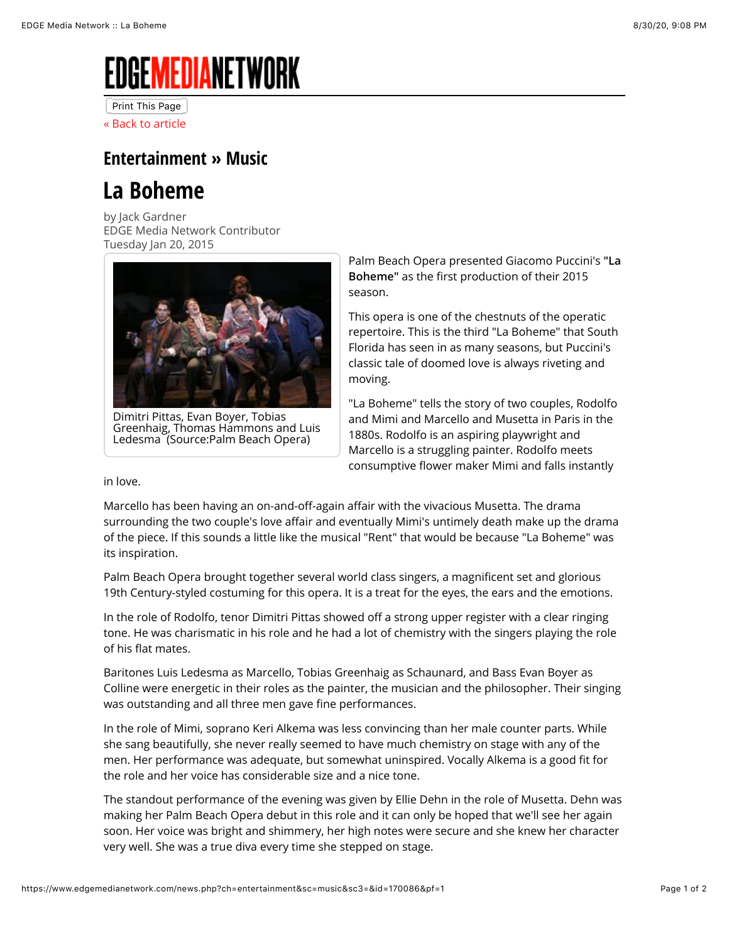## EDGE**m**edianetwork

Print This Page

[« Back to article](javascript:history.back())

## **[Entertainment](https://www.edgemedianetwork.com/entertainment) » [Music](https://www.edgemedianetwork.com/entertainment/music)**

## **La Boheme**

by Jack Gardner EDGE Media Network Contributor Tuesday Jan 20, 2015



Dimitri Pittas, Evan Boyer, Tobias Greenhaig, Thomas Hammons and Luis Ledesma (Source:Palm Beach Opera)

Palm Beach Opera presented Giacomo Puccini's **"La Boheme"** as the first production of their 2015 season.

This opera is one of the chestnuts of the operatic repertoire. This is the third "La Boheme" that South Florida has seen in as many seasons, but Puccini's classic tale of doomed love is always riveting and moving.

"La Boheme" tells the story of two couples, Rodolfo and Mimi and Marcello and Musetta in Paris in the 1880s. Rodolfo is an aspiring playwright and Marcello is a struggling painter. Rodolfo meets consumptive flower maker Mimi and falls instantly

in love.

Marcello has been having an on-and-off-again affair with the vivacious Musetta. The drama surrounding the two couple's love affair and eventually Mimi's untimely death make up the drama of the piece. If this sounds a little like the musical "Rent" that would be because "La Boheme" was its inspiration.

Palm Beach Opera brought together several world class singers, a magnificent set and glorious 19th Century-styled costuming for this opera. It is a treat for the eyes, the ears and the emotions.

In the role of Rodolfo, tenor Dimitri Pittas showed off a strong upper register with a clear ringing tone. He was charismatic in his role and he had a lot of chemistry with the singers playing the role of his flat mates.

Baritones Luis Ledesma as Marcello, Tobias Greenhaig as Schaunard, and Bass Evan Boyer as Colline were energetic in their roles as the painter, the musician and the philosopher. Their singing was outstanding and all three men gave fine performances.

In the role of Mimi, soprano Keri Alkema was less convincing than her male counter parts. While she sang beautifully, she never really seemed to have much chemistry on stage with any of the men. Her performance was adequate, but somewhat uninspired. Vocally Alkema is a good fit for the role and her voice has considerable size and a nice tone.

The standout performance of the evening was given by Ellie Dehn in the role of Musetta. Dehn was making her Palm Beach Opera debut in this role and it can only be hoped that we'll see her again soon. Her voice was bright and shimmery, her high notes were secure and she knew her character very well. She was a true diva every time she stepped on stage.